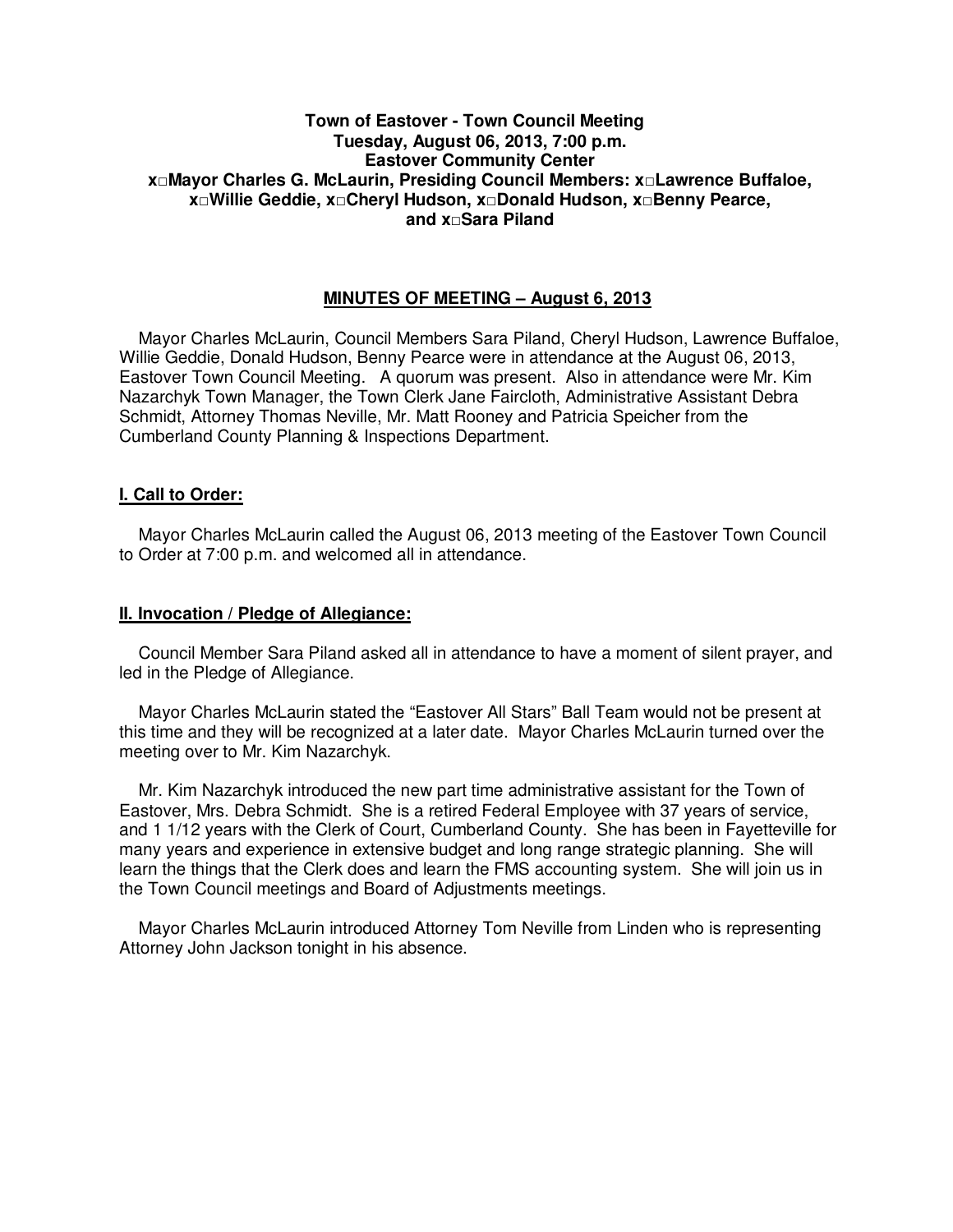#### **Town of Eastover - Town Council Meeting Tuesday, August 06, 2013, 7:00 p.m. Eastover Community Center x□Mayor Charles G. McLaurin, Presiding Council Members: x□Lawrence Buffaloe, x□Willie Geddie, x□Cheryl Hudson, x□Donald Hudson, x□Benny Pearce, and x□Sara Piland**

#### **MINUTES OF MEETING – August 6, 2013**

 Mayor Charles McLaurin, Council Members Sara Piland, Cheryl Hudson, Lawrence Buffaloe, Willie Geddie, Donald Hudson, Benny Pearce were in attendance at the August 06, 2013, Eastover Town Council Meeting. A quorum was present. Also in attendance were Mr. Kim Nazarchyk Town Manager, the Town Clerk Jane Faircloth, Administrative Assistant Debra Schmidt, Attorney Thomas Neville, Mr. Matt Rooney and Patricia Speicher from the Cumberland County Planning & Inspections Department.

#### **I. Call to Order:**

 Mayor Charles McLaurin called the August 06, 2013 meeting of the Eastover Town Council to Order at 7:00 p.m. and welcomed all in attendance.

#### **II. Invocation / Pledge of Allegiance:**

 Council Member Sara Piland asked all in attendance to have a moment of silent prayer, and led in the Pledge of Allegiance.

 Mayor Charles McLaurin stated the "Eastover All Stars" Ball Team would not be present at this time and they will be recognized at a later date. Mayor Charles McLaurin turned over the meeting over to Mr. Kim Nazarchyk.

 Mr. Kim Nazarchyk introduced the new part time administrative assistant for the Town of Eastover, Mrs. Debra Schmidt. She is a retired Federal Employee with 37 years of service, and 1 1/12 years with the Clerk of Court, Cumberland County. She has been in Fayetteville for many years and experience in extensive budget and long range strategic planning. She will learn the things that the Clerk does and learn the FMS accounting system. She will join us in the Town Council meetings and Board of Adjustments meetings.

 Mayor Charles McLaurin introduced Attorney Tom Neville from Linden who is representing Attorney John Jackson tonight in his absence.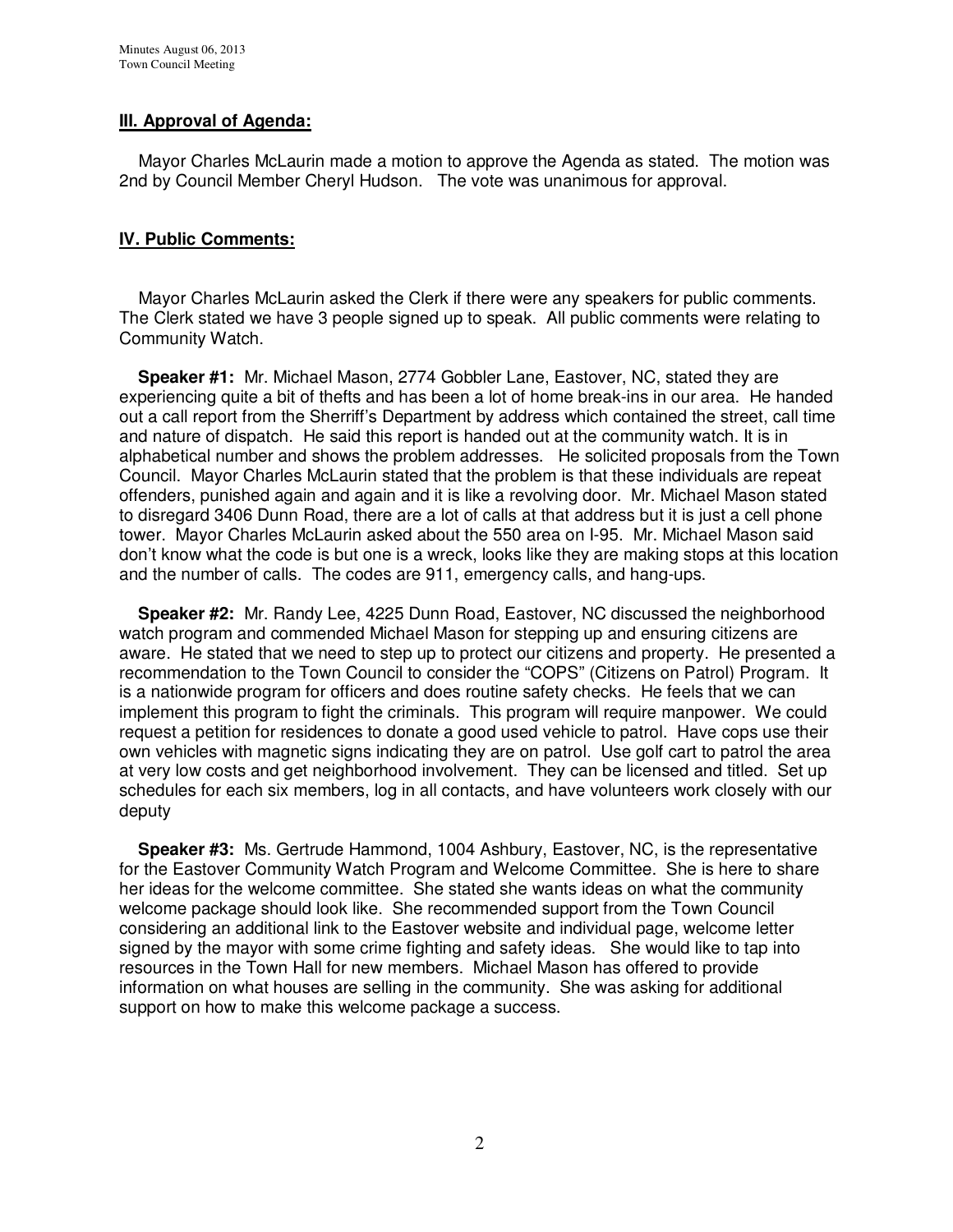# **III. Approval of Agenda:**

 Mayor Charles McLaurin made a motion to approve the Agenda as stated. The motion was 2nd by Council Member Cheryl Hudson. The vote was unanimous for approval.

## **IV. Public Comments:**

 Mayor Charles McLaurin asked the Clerk if there were any speakers for public comments. The Clerk stated we have 3 people signed up to speak. All public comments were relating to Community Watch.

 **Speaker #1:** Mr. Michael Mason, 2774 Gobbler Lane, Eastover, NC, stated they are experiencing quite a bit of thefts and has been a lot of home break-ins in our area. He handed out a call report from the Sherriff's Department by address which contained the street, call time and nature of dispatch. He said this report is handed out at the community watch. It is in alphabetical number and shows the problem addresses. He solicited proposals from the Town Council. Mayor Charles McLaurin stated that the problem is that these individuals are repeat offenders, punished again and again and it is like a revolving door. Mr. Michael Mason stated to disregard 3406 Dunn Road, there are a lot of calls at that address but it is just a cell phone tower. Mayor Charles McLaurin asked about the 550 area on I-95. Mr. Michael Mason said don't know what the code is but one is a wreck, looks like they are making stops at this location and the number of calls. The codes are 911, emergency calls, and hang-ups.

 **Speaker #2:** Mr. Randy Lee, 4225 Dunn Road, Eastover, NC discussed the neighborhood watch program and commended Michael Mason for stepping up and ensuring citizens are aware. He stated that we need to step up to protect our citizens and property. He presented a recommendation to the Town Council to consider the "COPS" (Citizens on Patrol) Program. It is a nationwide program for officers and does routine safety checks. He feels that we can implement this program to fight the criminals. This program will require manpower. We could request a petition for residences to donate a good used vehicle to patrol. Have cops use their own vehicles with magnetic signs indicating they are on patrol. Use golf cart to patrol the area at very low costs and get neighborhood involvement. They can be licensed and titled. Set up schedules for each six members, log in all contacts, and have volunteers work closely with our deputy

 **Speaker #3:** Ms. Gertrude Hammond, 1004 Ashbury, Eastover, NC, is the representative for the Eastover Community Watch Program and Welcome Committee. She is here to share her ideas for the welcome committee. She stated she wants ideas on what the community welcome package should look like. She recommended support from the Town Council considering an additional link to the Eastover website and individual page, welcome letter signed by the mayor with some crime fighting and safety ideas. She would like to tap into resources in the Town Hall for new members. Michael Mason has offered to provide information on what houses are selling in the community. She was asking for additional support on how to make this welcome package a success.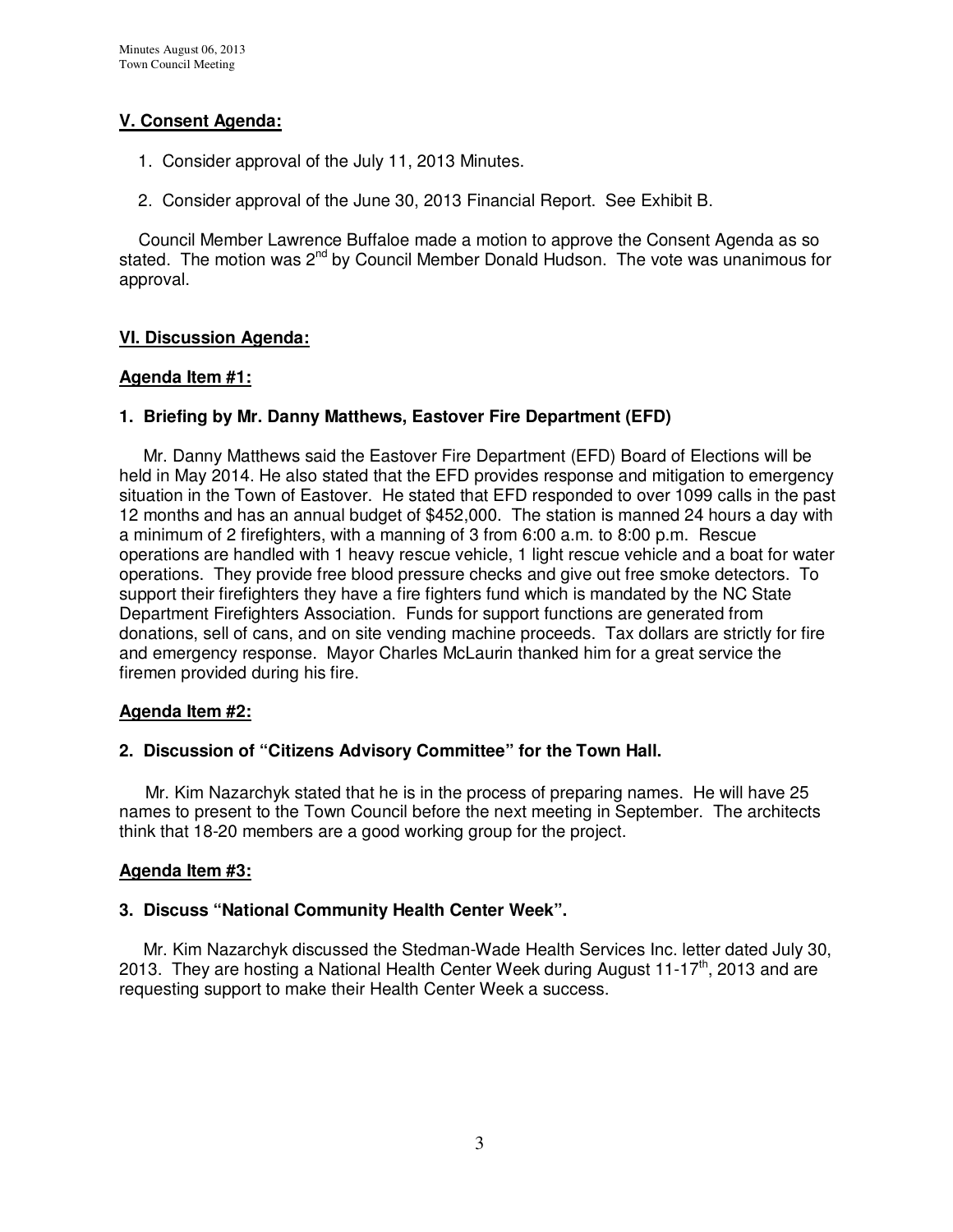# **V. Consent Agenda:**

- 1. Consider approval of the July 11, 2013 Minutes.
- 2. Consider approval of the June 30, 2013 Financial Report. See Exhibit B.

 Council Member Lawrence Buffaloe made a motion to approve the Consent Agenda as so stated. The motion was 2<sup>nd</sup> by Council Member Donald Hudson. The vote was unanimous for approval.

# **VI. Discussion Agenda:**

#### **Agenda Item #1:**

## **1. Briefing by Mr. Danny Matthews, Eastover Fire Department (EFD)**

Mr. Danny Matthews said the Eastover Fire Department (EFD) Board of Elections will be held in May 2014. He also stated that the EFD provides response and mitigation to emergency situation in the Town of Eastover. He stated that EFD responded to over 1099 calls in the past 12 months and has an annual budget of \$452,000. The station is manned 24 hours a day with a minimum of 2 firefighters, with a manning of 3 from 6:00 a.m. to 8:00 p.m. Rescue operations are handled with 1 heavy rescue vehicle, 1 light rescue vehicle and a boat for water operations. They provide free blood pressure checks and give out free smoke detectors. To support their firefighters they have a fire fighters fund which is mandated by the NC State Department Firefighters Association. Funds for support functions are generated from donations, sell of cans, and on site vending machine proceeds. Tax dollars are strictly for fire and emergency response. Mayor Charles McLaurin thanked him for a great service the firemen provided during his fire.

#### **Agenda Item #2:**

## **2. Discussion of "Citizens Advisory Committee" for the Town Hall.**

 Mr. Kim Nazarchyk stated that he is in the process of preparing names. He will have 25 names to present to the Town Council before the next meeting in September. The architects think that 18-20 members are a good working group for the project.

## **Agenda Item #3:**

## **3. Discuss "National Community Health Center Week".**

 Mr. Kim Nazarchyk discussed the Stedman-Wade Health Services Inc. letter dated July 30, 2013. They are hosting a National Health Center Week during August 11-17<sup>th</sup>, 2013 and are requesting support to make their Health Center Week a success.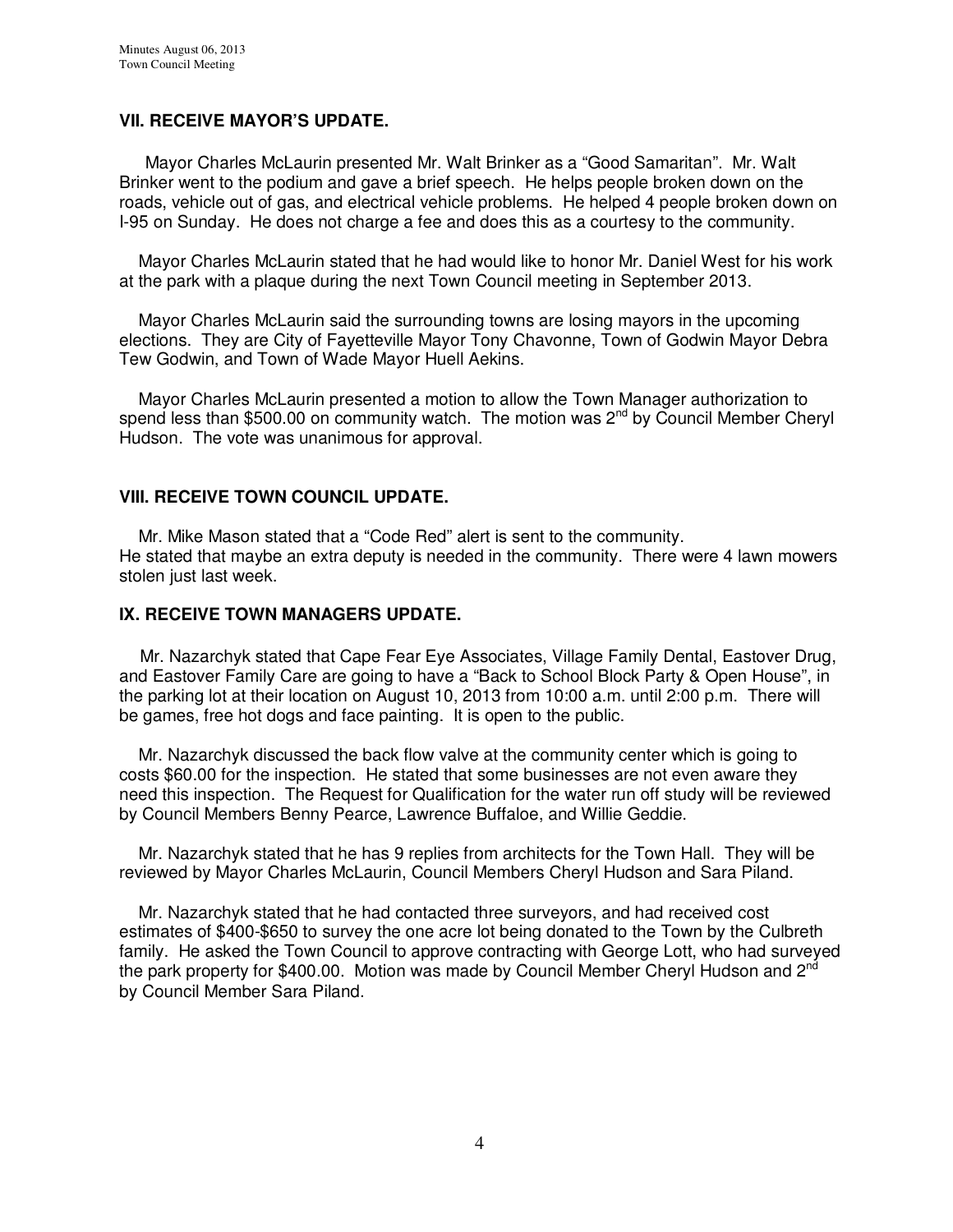## **VII. RECEIVE MAYOR'S UPDATE.**

Mayor Charles McLaurin presented Mr. Walt Brinker as a "Good Samaritan". Mr. Walt Brinker went to the podium and gave a brief speech. He helps people broken down on the roads, vehicle out of gas, and electrical vehicle problems. He helped 4 people broken down on I-95 on Sunday. He does not charge a fee and does this as a courtesy to the community.

 Mayor Charles McLaurin stated that he had would like to honor Mr. Daniel West for his work at the park with a plaque during the next Town Council meeting in September 2013.

 Mayor Charles McLaurin said the surrounding towns are losing mayors in the upcoming elections. They are City of Fayetteville Mayor Tony Chavonne, Town of Godwin Mayor Debra Tew Godwin, and Town of Wade Mayor Huell Aekins.

 Mayor Charles McLaurin presented a motion to allow the Town Manager authorization to spend less than \$500.00 on community watch. The motion was 2<sup>nd</sup> by Council Member Cheryl Hudson. The vote was unanimous for approval.

#### **VIII. RECEIVE TOWN COUNCIL UPDATE.**

 Mr. Mike Mason stated that a "Code Red" alert is sent to the community. He stated that maybe an extra deputy is needed in the community. There were 4 lawn mowers stolen just last week.

#### **IX. RECEIVE TOWN MANAGERS UPDATE.**

 Mr. Nazarchyk stated that Cape Fear Eye Associates, Village Family Dental, Eastover Drug, and Eastover Family Care are going to have a "Back to School Block Party & Open House", in the parking lot at their location on August 10, 2013 from 10:00 a.m. until 2:00 p.m. There will be games, free hot dogs and face painting. It is open to the public.

 Mr. Nazarchyk discussed the back flow valve at the community center which is going to costs \$60.00 for the inspection. He stated that some businesses are not even aware they need this inspection. The Request for Qualification for the water run off study will be reviewed by Council Members Benny Pearce, Lawrence Buffaloe, and Willie Geddie.

 Mr. Nazarchyk stated that he has 9 replies from architects for the Town Hall. They will be reviewed by Mayor Charles McLaurin, Council Members Cheryl Hudson and Sara Piland.

 Mr. Nazarchyk stated that he had contacted three surveyors, and had received cost estimates of \$400-\$650 to survey the one acre lot being donated to the Town by the Culbreth family. He asked the Town Council to approve contracting with George Lott, who had surveyed the park property for \$400.00. Motion was made by Council Member Cheryl Hudson and 2<sup>nd</sup> by Council Member Sara Piland.